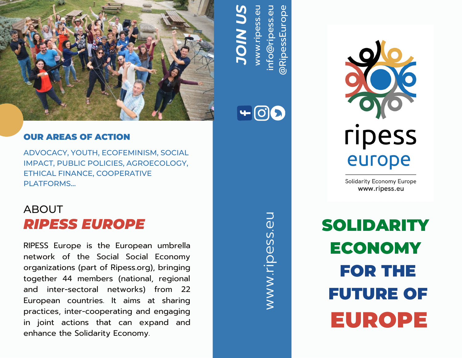

# OUR AREAS OF ACTION

ADVOCACY, YOUTH, ECOFEMINISM, SOCIAL IMPACT, PUBLIC POLICIES, AGROECOLOGY, ETHICAL FINANCE, COOPERATIVE PI ATFORMS...

# ABOUT *RIPESS EUROPE*

RIPESS Europe is the European umbrella network of the Social Social Economy organizations (part of Ripess.org), bringing together 44 members (national, regional and inter-sectoral networks) from 22 European countries. It aims at sharing practices, inter-cooperating and engaging in joint actions that can expand and enhance the Solidarity Economy.

 $\gtrless$  $\gtrsim$ w.rip  $\mathbb U$  ${\mathsf V}$ დ<sub>.</sub><br>თ  $\Box$ 

in fo

@

თ<br>თ<br> Eے<br>ت o $\overline{\mathbf{o}}$  $\bf \Phi$ 

Rip

0<br>ს<br>ს<br>ს

ጋ<br>ወ

@rip

ww

 $+00$ 

*J O*

*US*

*IN*

w.rip

C.

ess.<br>ess.

u



**Solidarity Economy Europe** www.ripess.eu

FOR THE FUTURE OF SOLIDARITY ECONOMY EUROPE